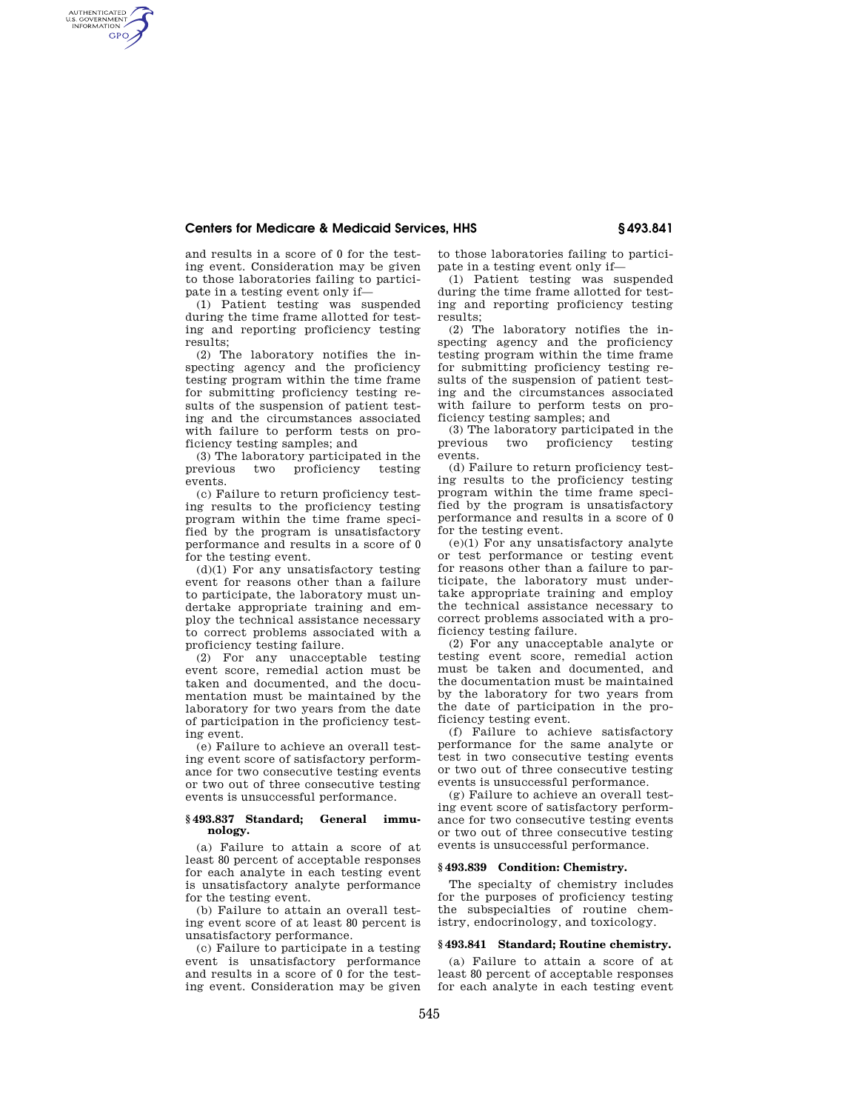## **Centers for Medicare & Medicaid Services, HHS § 493.841**

and results in a score of 0 for the testing event. Consideration may be given to those laboratories failing to participate in a testing event only if—

AUTHENTICATED<br>U.S. GOVERNMENT<br>INFORMATION **GPO** 

> (1) Patient testing was suspended during the time frame allotted for testing and reporting proficiency testing results;

> (2) The laboratory notifies the inspecting agency and the proficiency testing program within the time frame for submitting proficiency testing results of the suspension of patient testing and the circumstances associated with failure to perform tests on proficiency testing samples; and

> (3) The laboratory participated in the previous two proficiency testing events.

> (c) Failure to return proficiency testing results to the proficiency testing program within the time frame specified by the program is unsatisfactory performance and results in a score of 0 for the testing event.

> $(d)(1)$  For any unsatisfactory testing event for reasons other than a failure to participate, the laboratory must undertake appropriate training and employ the technical assistance necessary to correct problems associated with a proficiency testing failure.

> (2) For any unacceptable testing event score, remedial action must be taken and documented, and the documentation must be maintained by the laboratory for two years from the date of participation in the proficiency testing event.

> (e) Failure to achieve an overall testing event score of satisfactory performance for two consecutive testing events or two out of three consecutive testing events is unsuccessful performance.

#### **§ 493.837 Standard; General immunology.**

(a) Failure to attain a score of at least 80 percent of acceptable responses for each analyte in each testing event is unsatisfactory analyte performance for the testing event.

(b) Failure to attain an overall testing event score of at least 80 percent is unsatisfactory performance.

(c) Failure to participate in a testing event is unsatisfactory performance and results in a score of 0 for the testing event. Consideration may be given

to those laboratories failing to participate in a testing event only if—

(1) Patient testing was suspended during the time frame allotted for testing and reporting proficiency testing results;

(2) The laboratory notifies the inspecting agency and the proficiency testing program within the time frame for submitting proficiency testing results of the suspension of patient testing and the circumstances associated with failure to perform tests on proficiency testing samples; and

(3) The laboratory participated in the previous two proficiency testing events.

(d) Failure to return proficiency testing results to the proficiency testing program within the time frame specified by the program is unsatisfactory performance and results in a score of 0 for the testing event.

(e)(1) For any unsatisfactory analyte or test performance or testing event for reasons other than a failure to participate, the laboratory must undertake appropriate training and employ the technical assistance necessary to correct problems associated with a proficiency testing failure.

(2) For any unacceptable analyte or testing event score, remedial action must be taken and documented, and the documentation must be maintained by the laboratory for two years from the date of participation in the proficiency testing event.

(f) Failure to achieve satisfactory performance for the same analyte or test in two consecutive testing events or two out of three consecutive testing events is unsuccessful performance.

(g) Failure to achieve an overall testing event score of satisfactory performance for two consecutive testing events or two out of three consecutive testing events is unsuccessful performance.

### **§ 493.839 Condition: Chemistry.**

The specialty of chemistry includes for the purposes of proficiency testing the subspecialties of routine chemistry, endocrinology, and toxicology.

#### **§ 493.841 Standard; Routine chemistry.**

(a) Failure to attain a score of at least 80 percent of acceptable responses for each analyte in each testing event